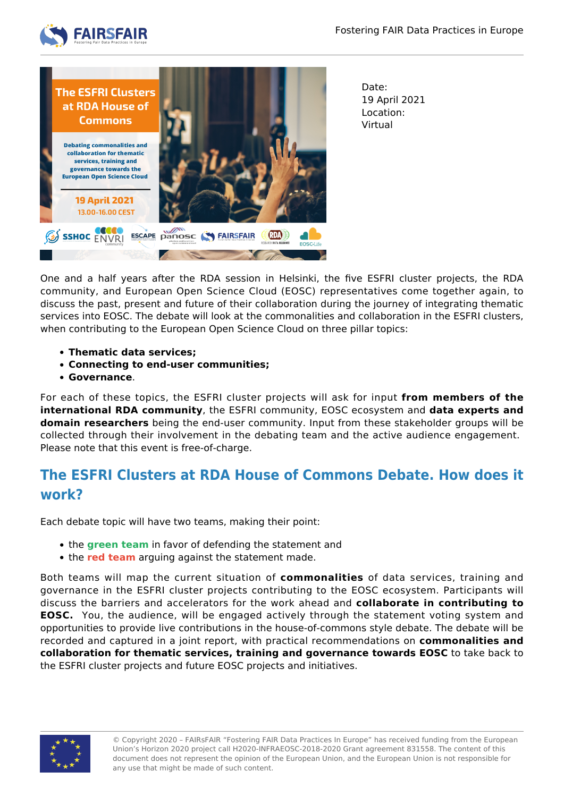



Date: 19 April 2021 Location: Virtual

One and a half years after the RDA session in Helsinki, the five ESFRI cluster projects, the RDA community, and European Open Science Cloud (EOSC) representatives come together again, to discuss the past, present and future of their collaboration during the journey of integrating thematic services into EOSC. The debate will look at the commonalities and collaboration in the ESFRI clusters, when contributing to the European Open Science Cloud on three pillar topics:

- **Thematic data services;**
- **Connecting to end-user communities;**
- **Governance**.

For each of these topics, the ESFRI cluster projects will ask for input **from members of the international RDA community**, the ESFRI community, EOSC ecosystem and **data experts and domain researchers** being the end-user community. Input from these stakeholder groups will be collected through their involvement in the debating team and the active audience engagement. Please note that this event is free-of-charge.

## **The ESFRI Clusters at RDA House of Commons Debate. How does it work?**

Each debate topic will have two teams, making their point:

- **the green team** in favor of defending the statement and
- the **red team** arguing against the statement made.

Both teams will map the current situation of **commonalities** of data services, training and governance in the ESFRI cluster projects contributing to the EOSC ecosystem. Participants will discuss the barriers and accelerators for the work ahead and **collaborate in contributing to EOSC.** You, the audience, will be engaged actively through the statement voting system and opportunities to provide live contributions in the house-of-commons style debate. The debate will be recorded and captured in a joint report, with practical recommendations on **commonalities and collaboration for thematic services, training and governance towards EOSC** to take back to the ESFRI cluster projects and future EOSC projects and initiatives.